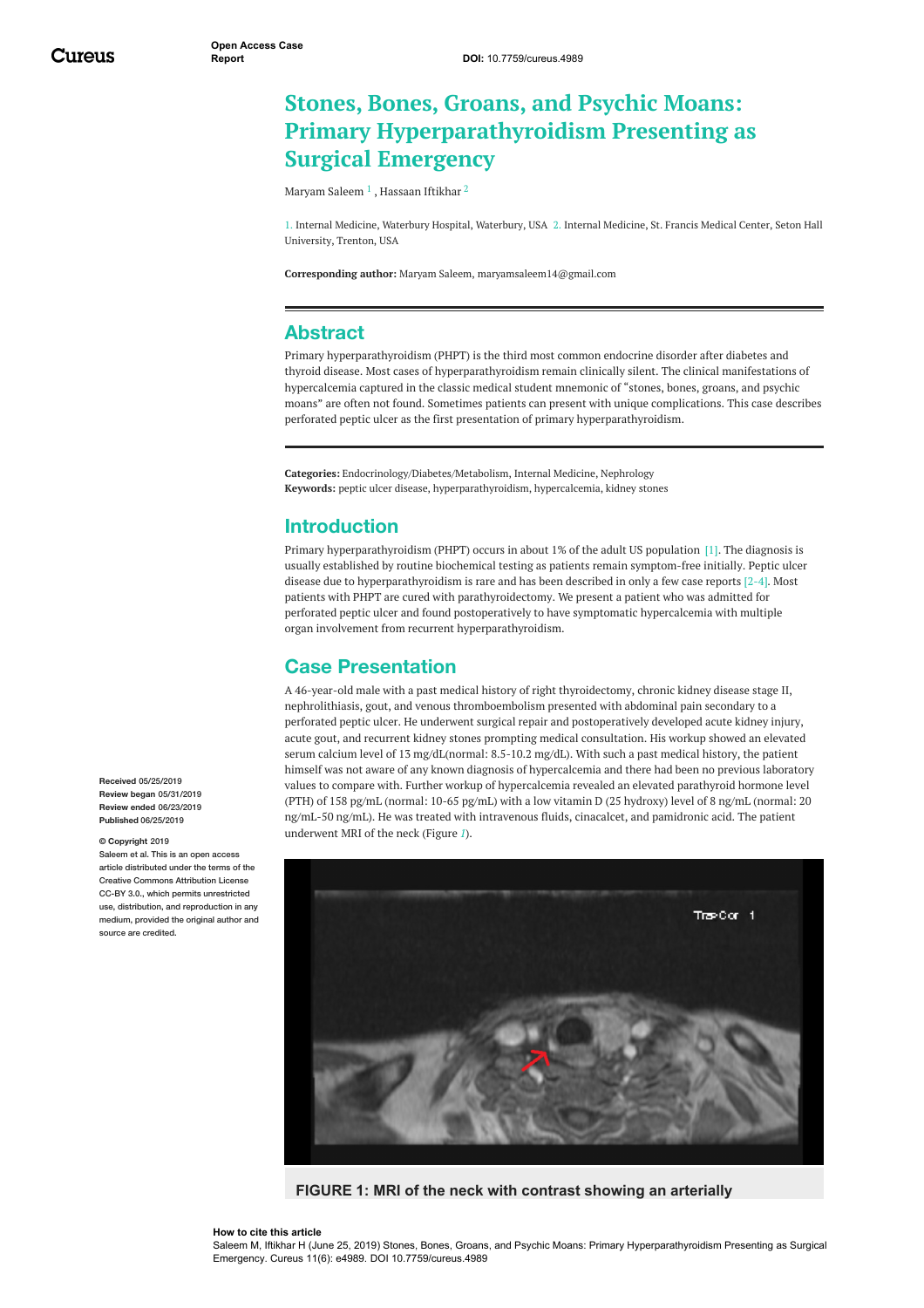# **Stones, Bones, Groans, and Psychic Moans: Primary Hyperparathyroidism Presenting as Surgical Emergency**

[Maryam](https://www.cureus.com/users/124019-maryam-saleem) Saleem  $^1$  , [Hassaan](https://www.cureus.com/users/111599-hassaan-iftikhar) Iftikhar  $^2$ 

1. Internal Medicine, Waterbury Hospital, Waterbury, USA 2. Internal Medicine, St. Francis Medical Center, Seton Hall University, Trenton, USA

**Corresponding author:** Maryam Saleem, maryamsaleem14@gmail.com

### **Abstract**

Primary hyperparathyroidism (PHPT) is the third most common endocrine disorder after diabetes and thyroid disease. Most cases of hyperparathyroidism remain clinically silent. The clinical manifestations of hypercalcemia captured in the classic medical student mnemonic of "stones, bones, groans, and psychic moans" are often not found. Sometimes patients can present with unique complications. This case describes perforated peptic ulcer as the first presentation of primary hyperparathyroidism.

**Categories:** Endocrinology/Diabetes/Metabolism, Internal Medicine, Nephrology **Keywords:** peptic ulcer disease, hyperparathyroidism, hypercalcemia, kidney stones

## **Introduction**

Primary hyperparathyroidism (PHPT) occurs in about 1% of the adult US population [1]. The diagnosis is usually established by routine biochemical testing as patients remain symptom-free initially. Peptic ulcer disease due to hyperparathyroidism is rare and has been described in only a few case reports [2-4]. Most patients with PHPT are cured with parathyroidectomy. We present a patient who was admitted for perforated peptic ulcer and found postoperatively to have symptomatic hypercalcemia with multiple organ involvement from recurrent hyperparathyroidism.

# **Case Presentation**

A 46-year-old male with a past medical history of right thyroidectomy, chronic kidney disease stage II, nephrolithiasis, gout, and venous thromboembolism presented with abdominal pain secondary to a perforated peptic ulcer. He underwent surgical repair and postoperatively developed acute kidney injury, acute gout, and recurrent kidney stones prompting medical consultation. His workup showed an elevated serum calcium level of 13 mg/dL(normal: 8.5-10.2 mg/dL). With such a past medical history, the patient himself was not aware of any known diagnosis of hypercalcemia and there had been no previous laboratory values to compare with. Further workup of hypercalcemia revealed an elevated parathyroid hormone level (PTH) of 158 pg/mL (normal: 10-65 pg/mL) with a low vitamin D (25 hydroxy) level of 8 ng/mL (normal: 20 ng/mL-50 ng/mL). He was treated with intravenous fluids, cinacalcet, and pamidronic acid. The patient underwent MRI of the neck (Figure *[1](#page-0-0)*).

<span id="page-0-0"></span>

**FIGURE 1: MRI of the neck with contrast showing an arterially**

#### **How to cite this article**

Saleem M, Iftikhar H (June 25, 2019) Stones, Bones, Groans, and Psychic Moans: Primary Hyperparathyroidism Presenting as Surgical Emergency. Cureus 11(6): e4989. DOI 10.7759/cureus.4989

**Received** 05/25/2019 **Review began** 05/31/2019 **Review ended** 06/23/2019 **Published** 06/25/2019

#### **© Copyright** 2019

Saleem et al. This is an open access article distributed under the terms of the Creative Commons Attribution License CC-BY 3.0., which permits unrestricted use, distribution, and reproduction in any medium, provided the original author and source are credited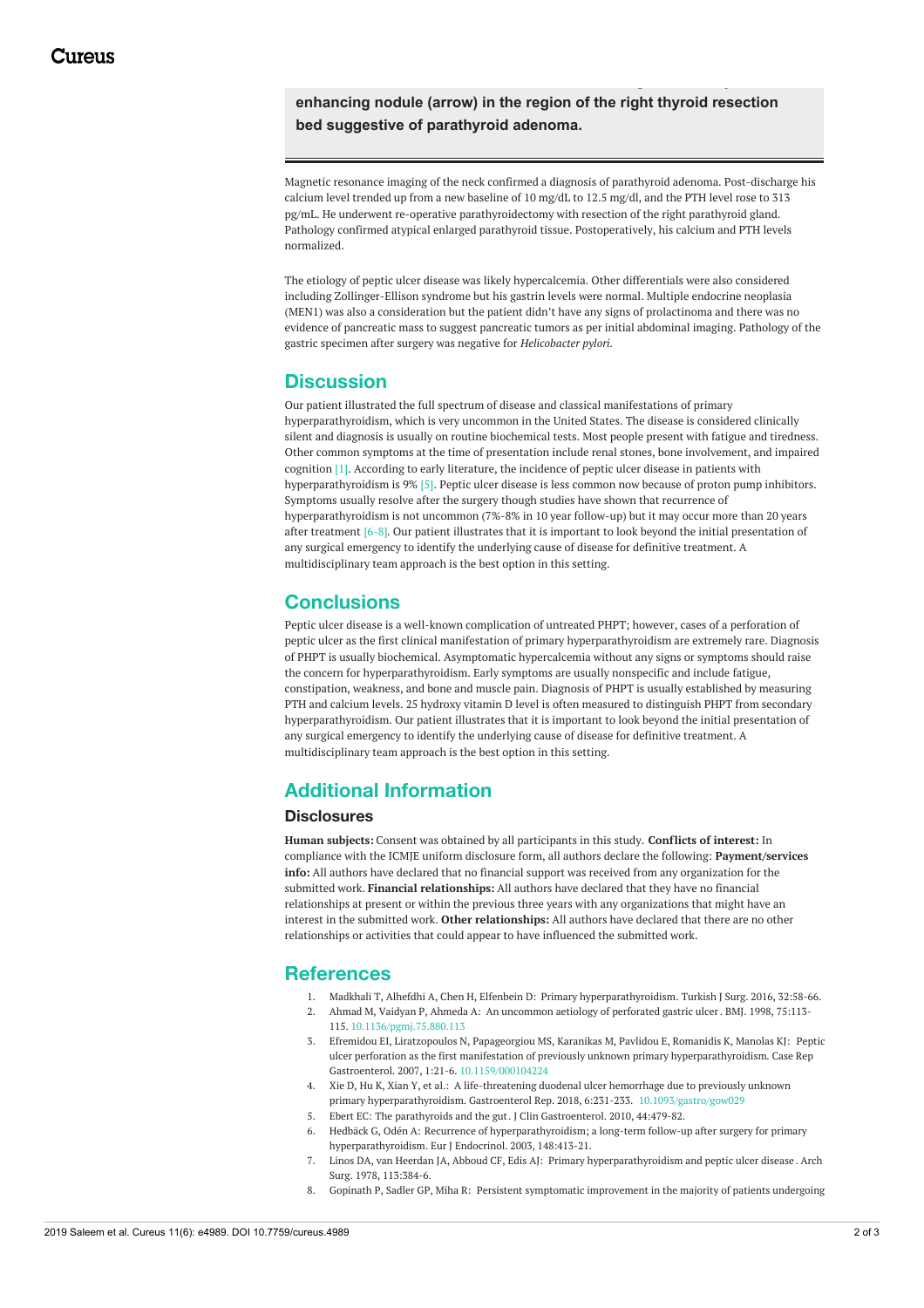**enhancing nodule (arrow) in the region of the right thyroid resection bed suggestive of parathyroid adenoma.**

Magnetic resonance imaging of the neck confirmed a diagnosis of parathyroid adenoma. Post-discharge his calcium level trended up from a new baseline of 10 mg/dL to 12.5 mg/dl, and the PTH level rose to 313 pg/mL. He underwent re-operative parathyroidectomy with resection of the right parathyroid gland. Pathology confirmed atypical enlarged parathyroid tissue. Postoperatively, his calcium and PTH levels normalized.

The etiology of peptic ulcer disease was likely hypercalcemia. Other differentials were also considered including Zollinger-Ellison syndrome but his gastrin levels were normal. Multiple endocrine neoplasia (MEN1) was also a consideration but the patient didn't have any signs of prolactinoma and there was no evidence of pancreatic mass to suggest pancreatic tumors as per initial abdominal imaging. Pathology of the gastric specimen after surgery was negative for *Helicobacter pylori.*

### **Discussion**

Our patient illustrated the full spectrum of disease and classical manifestations of primary hyperparathyroidism, which is very uncommon in the United States. The disease is considered clinically silent and diagnosis is usually on routine biochemical tests. Most people present with fatigue and tiredness. Other common symptoms at the time of presentation include renal stones, bone involvement, and impaired cognition [1]. According to early literature, the incidence of peptic ulcer disease in patients with hyperparathyroidism is 9% [5]. Peptic ulcer disease is less common now because of proton pump inhibitors. Symptoms usually resolve after the surgery though studies have shown that recurrence of hyperparathyroidism is not uncommon (7%-8% in 10 year follow-up) but it may occur more than 20 years after treatment [6-8]. Our patient illustrates that it is important to look beyond the initial presentation of any surgical emergency to identify the underlying cause of disease for definitive treatment. A multidisciplinary team approach is the best option in this setting.

## **Conclusions**

Peptic ulcer disease is a well-known complication of untreated PHPT; however, cases of a perforation of peptic ulcer as the first clinical manifestation of primary hyperparathyroidism are extremely rare. Diagnosis of PHPT is usually biochemical. Asymptomatic hypercalcemia without any signs or symptoms should raise the concern for hyperparathyroidism. Early symptoms are usually nonspecific and include fatigue, constipation, weakness, and bone and muscle pain. Diagnosis of PHPT is usually established by measuring PTH and calcium levels. 25 hydroxy vitamin D level is often measured to distinguish PHPT from secondary hyperparathyroidism. Our patient illustrates that it is important to look beyond the initial presentation of any surgical emergency to identify the underlying cause of disease for definitive treatment. A multidisciplinary team approach is the best option in this setting.

# **Additional Information**

#### **Disclosures**

**Human subjects:** Consent was obtained by all participants in this study. **Conflicts of interest:** In compliance with the ICMJE uniform disclosure form, all authors declare the following: **Payment/services info:** All authors have declared that no financial support was received from any organization for the submitted work. **Financial relationships:** All authors have declared that they have no financial relationships at present or within the previous three years with any organizations that might have an interest in the submitted work. **Other relationships:** All authors have declared that there are no other relationships or activities that could appear to have influenced the submitted work.

# **References**

- 1. Madkhali T, Alhefdhi A, Chen H, Elfenbein D: Primary [hyperparathyroidism](https://www.ncbi.nlm.nih.gov/pmc/articles/PMC4771429/#). Turkish J Surg. 2016, 32:58-66.
- 2. Ahmad M, Vaidyan P, Ahmeda A: An [uncommon](https://dx.doi.org/10.1136/pgmj.75.880.113) aetiology of perforated gastric ulcer. BMJ. 1998, 75:113- 115. [10.1136/pgmj.75.880.113](https://dx.doi.org/10.1136/pgmj.75.880.113)
- 3. Efremidou EI, Liratzopoulos N, Papageorgiou MS, Karanikas M, Pavlidou E, Romanidis K, Manolas KJ: Peptic ulcer perforation as the first manifestation of previously unknown primary [hyperparathyroidism.](https://dx.doi.org/10.1159/000104224) Case Rep Gastroenterol. 2007, 1:21-6. [10.1159/000104224](https://dx.doi.org/10.1159/000104224)
- 4. Xie D, Hu K, Xian Y, et al.: A life-threatening duodenal ulcer hemorrhage due to previously unknown primary hyperparathyroidism. Gastroenterol Rep. 2018, 6:231-233. [10.1093/gastro/gow029](https://dx.doi.org/10.1093/gastro/gow029)
- 5. Ebert EC: The [parathyroids](https://www.ncbi.nlm.nih.gov/pubmed/20485190) and the gut. J Clin Gastroenterol. 2010, 44:479-82.
- 6. Hedbäck G, Odén A: Recurrence of [hyperparathyroidism;](https://www.ncbi.nlm.nih.gov/pubmed/12656661) a long-term follow-up after surgery for primary hyperparathyroidism. Eur J Endocrinol. 2003, 148:413-21.
- 7. Linos DA, van Heerdan JA, Abboud CF, Edis AJ: Primary [hyperparathyroidism](https://www.ncbi.nlm.nih.gov/pubmed/637708) and peptic ulcer disease . Arch Surg. 1978, 113:384-6.
- 8. Gopinath P, Sadler GP, Miha R: Persistent symptomatic [improvement](https://link.springer.com/article/10.1007%2Fs00423-010-0689-z) in the majority of patients undergoing